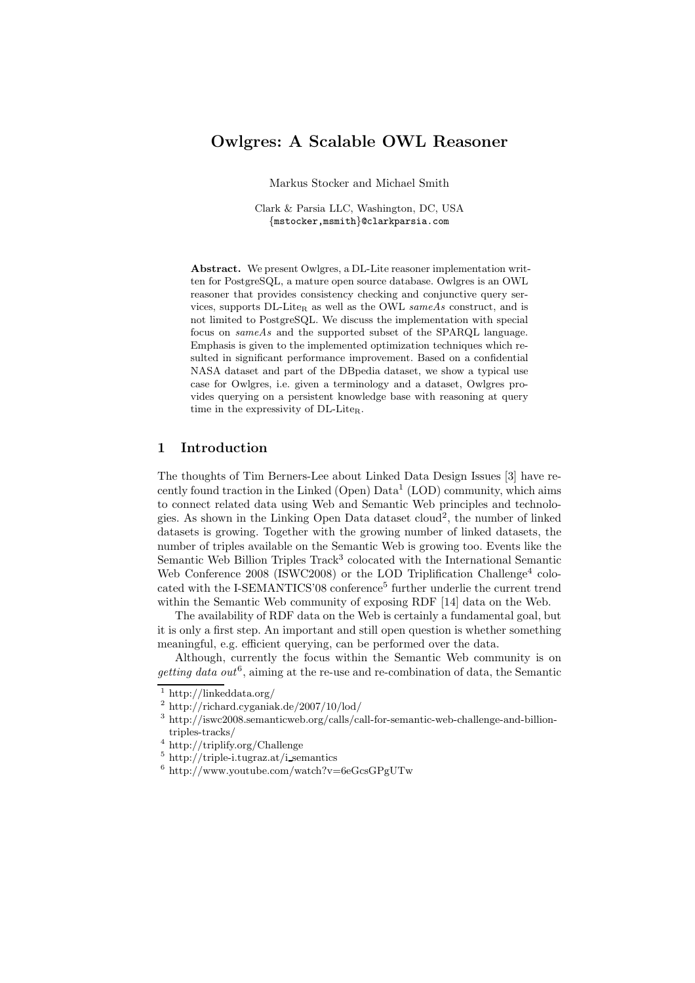# Owlgres: A Scalable OWL Reasoner

Markus Stocker and Michael Smith

Clark & Parsia LLC, Washington, DC, USA {mstocker,msmith}@clarkparsia.com

Abstract. We present Owlgres, a DL-Lite reasoner implementation written for PostgreSQL, a mature open source database. Owlgres is an OWL reasoner that provides consistency checking and conjunctive query services, supports  $DL$ -Lite<sub>R</sub> as well as the OWL sameAs construct, and is not limited to PostgreSQL. We discuss the implementation with special focus on sameAs and the supported subset of the SPARQL language. Emphasis is given to the implemented optimization techniques which resulted in significant performance improvement. Based on a confidential NASA dataset and part of the DBpedia dataset, we show a typical use case for Owlgres, i.e. given a terminology and a dataset, Owlgres provides querying on a persistent knowledge base with reasoning at query time in the expressivity of DL-Lite<sub>R</sub>.

# 1 Introduction

The thoughts of Tim Berners-Lee about Linked Data Design Issues [3] have recently found traction in the Linked (Open) Data<sup>1</sup> (LOD) community, which aims to connect related data using Web and Semantic Web principles and technologies. As shown in the Linking Open Data dataset cloud<sup>2</sup>, the number of linked datasets is growing. Together with the growing number of linked datasets, the number of triples available on the Semantic Web is growing too. Events like the Semantic Web Billion Triples Track<sup>3</sup> colocated with the International Semantic Web Conference 2008 (ISWC2008) or the LOD Triplification Challenge<sup>4</sup> colocated with the I-SEMANTICS'08 conference<sup>5</sup> further underlie the current trend within the Semantic Web community of exposing RDF [14] data on the Web.

The availability of RDF data on the Web is certainly a fundamental goal, but it is only a first step. An important and still open question is whether something meaningful, e.g. efficient querying, can be performed over the data.

Although, currently the focus within the Semantic Web community is on getting data out<sup>6</sup>, aiming at the re-use and re-combination of data, the Semantic

<sup>&</sup>lt;sup>1</sup> http://linkeddata.org/

<sup>2</sup> http://richard.cyganiak.de/2007/10/lod/

 $^3$ http://iswc2008.semanticweb.org/calls/call-for-semantic-web-challenge-and-billiontriples-tracks/

<sup>4</sup> http://triplify.org/Challenge

<sup>5</sup> http://triple-i.tugraz.at/i semantics

 $6 \text{ http://www.youtube.com/watch?v=6eGcsGPgUTw}$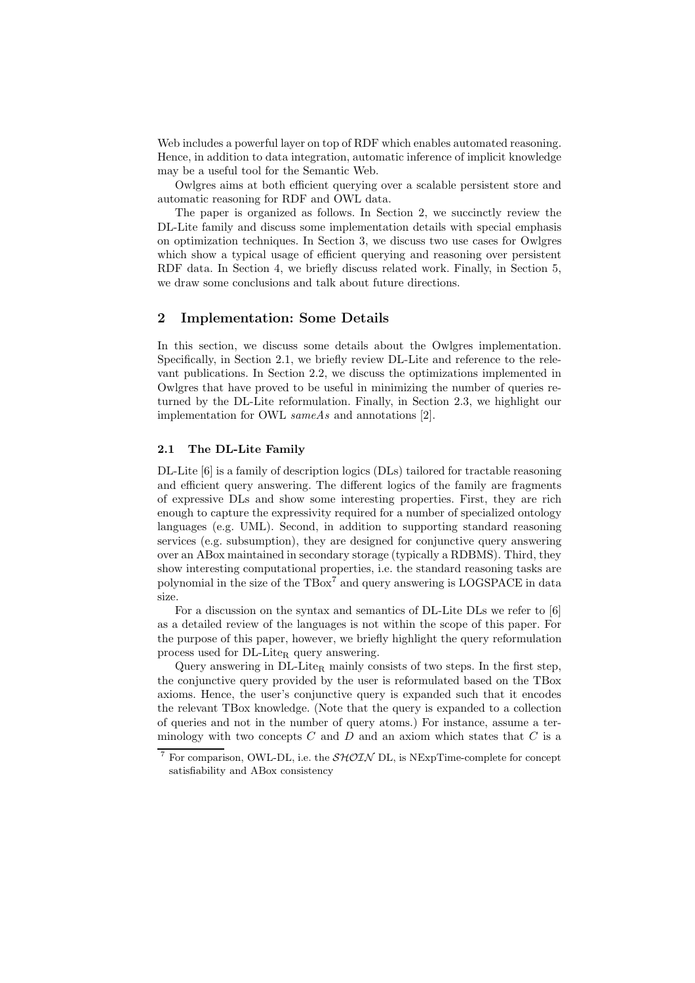Web includes a powerful layer on top of RDF which enables automated reasoning. Hence, in addition to data integration, automatic inference of implicit knowledge may be a useful tool for the Semantic Web.

Owlgres aims at both efficient querying over a scalable persistent store and automatic reasoning for RDF and OWL data.

The paper is organized as follows. In Section 2, we succinctly review the DL-Lite family and discuss some implementation details with special emphasis on optimization techniques. In Section 3, we discuss two use cases for Owlgres which show a typical usage of efficient querying and reasoning over persistent RDF data. In Section 4, we briefly discuss related work. Finally, in Section 5, we draw some conclusions and talk about future directions.

### 2 Implementation: Some Details

In this section, we discuss some details about the Owlgres implementation. Specifically, in Section 2.1, we briefly review DL-Lite and reference to the relevant publications. In Section 2.2, we discuss the optimizations implemented in Owlgres that have proved to be useful in minimizing the number of queries returned by the DL-Lite reformulation. Finally, in Section 2.3, we highlight our implementation for OWL sameAs and annotations [2].

### 2.1 The DL-Lite Family

DL-Lite [6] is a family of description logics (DLs) tailored for tractable reasoning and efficient query answering. The different logics of the family are fragments of expressive DLs and show some interesting properties. First, they are rich enough to capture the expressivity required for a number of specialized ontology languages (e.g. UML). Second, in addition to supporting standard reasoning services (e.g. subsumption), they are designed for conjunctive query answering over an ABox maintained in secondary storage (typically a RDBMS). Third, they show interesting computational properties, i.e. the standard reasoning tasks are polynomial in the size of the  $TBox^{7}$  and query answering is LOGSPACE in data size.

For a discussion on the syntax and semantics of DL-Lite DLs we refer to [6] as a detailed review of the languages is not within the scope of this paper. For the purpose of this paper, however, we briefly highlight the query reformulation process used for DL-Lite<sub>R</sub> query answering.

Query answering in  $DL\text{-}Life<sub>R</sub>$  mainly consists of two steps. In the first step, the conjunctive query provided by the user is reformulated based on the TBox axioms. Hence, the user's conjunctive query is expanded such that it encodes the relevant TBox knowledge. (Note that the query is expanded to a collection of queries and not in the number of query atoms.) For instance, assume a terminology with two concepts  $C$  and  $D$  and an axiom which states that  $C$  is a

<sup>&</sup>lt;sup>7</sup> For comparison, OWL-DL, i.e. the  $\mathcal{SHOLN}$  DL, is NExpTime-complete for concept satisfiability and ABox consistency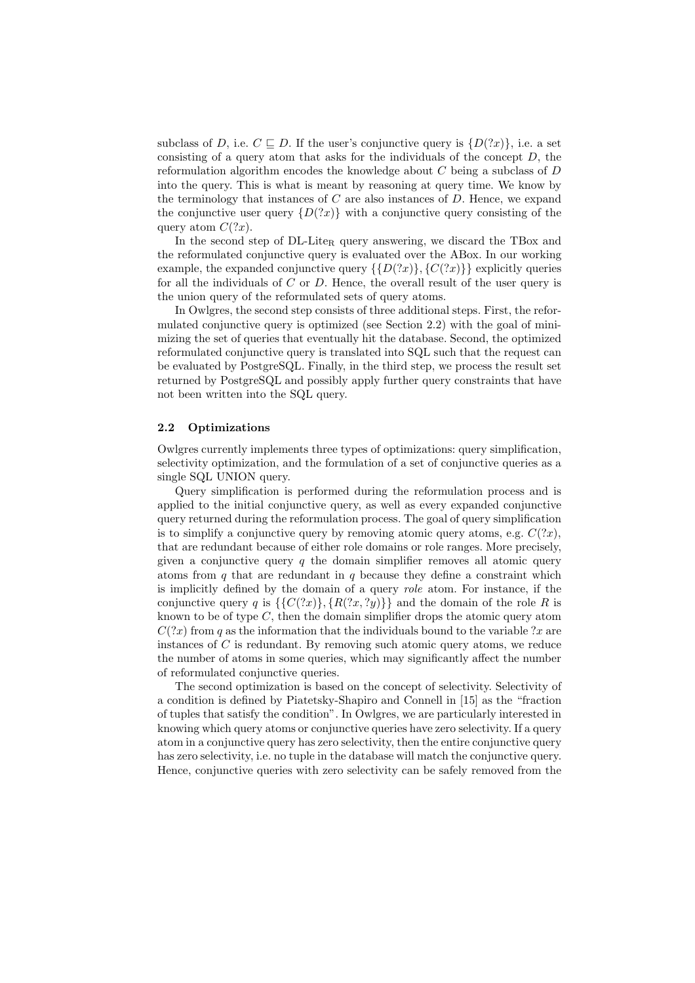subclass of D, i.e.  $C \subseteq D$ . If the user's conjunctive query is  $\{D(?x)\}\)$ , i.e. a set consisting of a query atom that asks for the individuals of the concept  $D$ , the reformulation algorithm encodes the knowledge about  $C$  being a subclass of  $D$ into the query. This is what is meant by reasoning at query time. We know by the terminology that instances of  $C$  are also instances of  $D$ . Hence, we expand the conjunctive user query  $\{D(?x)\}\$  with a conjunctive query consisting of the query atom  $C(?x)$ .

In the second step of  $DL\text{-}Life<sub>R</sub>$  query answering, we discard the TBox and the reformulated conjunctive query is evaluated over the ABox. In our working example, the expanded conjunctive query  $\{D(2x)\}, \{C(2x)\}\}\$ explicitly queries for all the individuals of  $C$  or  $D$ . Hence, the overall result of the user query is the union query of the reformulated sets of query atoms.

In Owlgres, the second step consists of three additional steps. First, the reformulated conjunctive query is optimized (see Section 2.2) with the goal of minimizing the set of queries that eventually hit the database. Second, the optimized reformulated conjunctive query is translated into SQL such that the request can be evaluated by PostgreSQL. Finally, in the third step, we process the result set returned by PostgreSQL and possibly apply further query constraints that have not been written into the SQL query.

#### 2.2 Optimizations

Owlgres currently implements three types of optimizations: query simplification, selectivity optimization, and the formulation of a set of conjunctive queries as a single SQL UNION query.

Query simplification is performed during the reformulation process and is applied to the initial conjunctive query, as well as every expanded conjunctive query returned during the reformulation process. The goal of query simplification is to simplify a conjunctive query by removing atomic query atoms, e.g.  $C(?x)$ , that are redundant because of either role domains or role ranges. More precisely, given a conjunctive query  $q$  the domain simplifier removes all atomic query atoms from  $q$  that are redundant in  $q$  because they define a constraint which is implicitly defined by the domain of a query role atom. For instance, if the conjunctive query q is  $\{C(?x)\}, \{R(?x, ?y)\}\}\$ and the domain of the role R is known to be of type  $C$ , then the domain simplifier drops the atomic query atom  $C(?x)$  from q as the information that the individuals bound to the variable ?x are instances of  $C$  is redundant. By removing such atomic query atoms, we reduce the number of atoms in some queries, which may significantly affect the number of reformulated conjunctive queries.

The second optimization is based on the concept of selectivity. Selectivity of a condition is defined by Piatetsky-Shapiro and Connell in [15] as the "fraction of tuples that satisfy the condition". In Owlgres, we are particularly interested in knowing which query atoms or conjunctive queries have zero selectivity. If a query atom in a conjunctive query has zero selectivity, then the entire conjunctive query has zero selectivity, i.e. no tuple in the database will match the conjunctive query. Hence, conjunctive queries with zero selectivity can be safely removed from the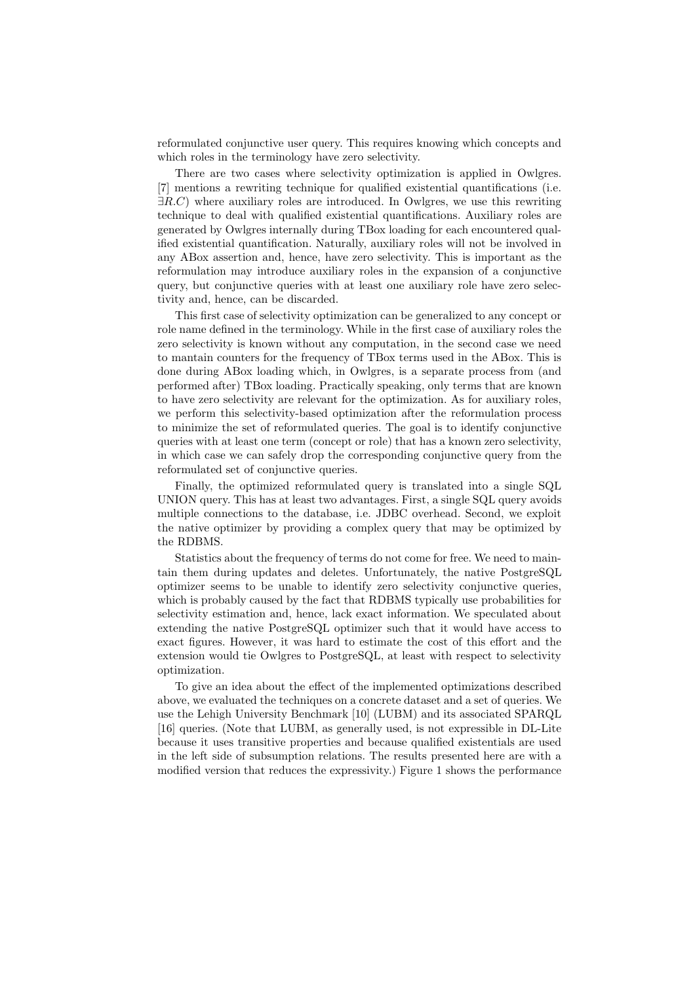reformulated conjunctive user query. This requires knowing which concepts and which roles in the terminology have zero selectivity.

There are two cases where selectivity optimization is applied in Owlgres. [7] mentions a rewriting technique for qualified existential quantifications (i.e.  $\exists R.C$ ) where auxiliary roles are introduced. In Owlgres, we use this rewriting technique to deal with qualified existential quantifications. Auxiliary roles are generated by Owlgres internally during TBox loading for each encountered qualified existential quantification. Naturally, auxiliary roles will not be involved in any ABox assertion and, hence, have zero selectivity. This is important as the reformulation may introduce auxiliary roles in the expansion of a conjunctive query, but conjunctive queries with at least one auxiliary role have zero selectivity and, hence, can be discarded.

This first case of selectivity optimization can be generalized to any concept or role name defined in the terminology. While in the first case of auxiliary roles the zero selectivity is known without any computation, in the second case we need to mantain counters for the frequency of TBox terms used in the ABox. This is done during ABox loading which, in Owlgres, is a separate process from (and performed after) TBox loading. Practically speaking, only terms that are known to have zero selectivity are relevant for the optimization. As for auxiliary roles, we perform this selectivity-based optimization after the reformulation process to minimize the set of reformulated queries. The goal is to identify conjunctive queries with at least one term (concept or role) that has a known zero selectivity, in which case we can safely drop the corresponding conjunctive query from the reformulated set of conjunctive queries.

Finally, the optimized reformulated query is translated into a single SQL UNION query. This has at least two advantages. First, a single SQL query avoids multiple connections to the database, i.e. JDBC overhead. Second, we exploit the native optimizer by providing a complex query that may be optimized by the RDBMS.

Statistics about the frequency of terms do not come for free. We need to maintain them during updates and deletes. Unfortunately, the native PostgreSQL optimizer seems to be unable to identify zero selectivity conjunctive queries, which is probably caused by the fact that RDBMS typically use probabilities for selectivity estimation and, hence, lack exact information. We speculated about extending the native PostgreSQL optimizer such that it would have access to exact figures. However, it was hard to estimate the cost of this effort and the extension would tie Owlgres to PostgreSQL, at least with respect to selectivity optimization.

To give an idea about the effect of the implemented optimizations described above, we evaluated the techniques on a concrete dataset and a set of queries. We use the Lehigh University Benchmark [10] (LUBM) and its associated SPARQL [16] queries. (Note that LUBM, as generally used, is not expressible in DL-Lite because it uses transitive properties and because qualified existentials are used in the left side of subsumption relations. The results presented here are with a modified version that reduces the expressivity.) Figure 1 shows the performance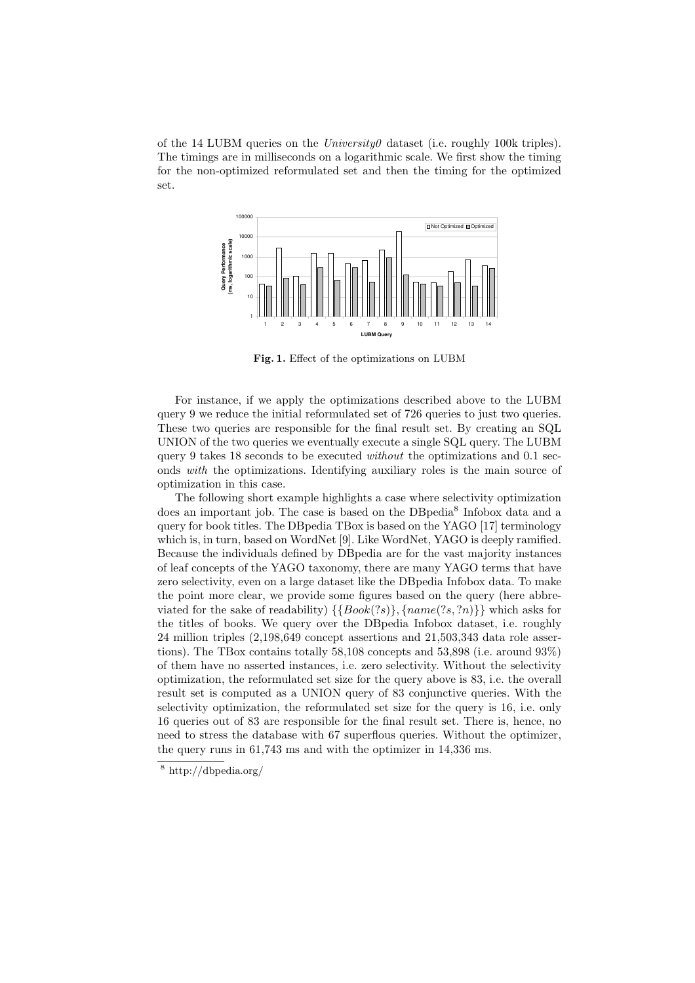of the 14 LUBM queries on the *University* dataset (i.e. roughly 100k triples). The timings are in milliseconds on a logarithmic scale. We first show the timing for the non-optimized reformulated set and then the timing for the optimized set.



Fig. 1. Effect of the optimizations on LUBM

For instance, if we apply the optimizations described above to the LUBM query 9 we reduce the initial reformulated set of 726 queries to just two queries. These two queries are responsible for the final result set. By creating an SQL UNION of the two queries we eventually execute a single SQL query. The LUBM query 9 takes 18 seconds to be executed *without* the optimizations and  $0.1$  seconds with the optimizations. Identifying auxiliary roles is the main source of optimization in this case.

The following short example highlights a case where selectivity optimization does an important job. The case is based on the DBpedia<sup>8</sup> Infobox data and a query for book titles. The DBpedia TBox is based on the YAGO [17] terminology which is, in turn, based on WordNet [9]. Like WordNet, YAGO is deeply ramified. Because the individuals defined by DBpedia are for the vast majority instances of leaf concepts of the YAGO taxonomy, there are many YAGO terms that have zero selectivity, even on a large dataset like the DBpedia Infobox data. To make the point more clear, we provide some figures based on the query (here abbreviated for the sake of readability)  $\{\{Book(?s)\}, \{name(?s, ?n)\}\}\$  which asks for the titles of books. We query over the DBpedia Infobox dataset, i.e. roughly 24 million triples (2,198,649 concept assertions and 21,503,343 data role assertions). The TBox contains totally 58,108 concepts and 53,898 (i.e. around 93%) of them have no asserted instances, i.e. zero selectivity. Without the selectivity optimization, the reformulated set size for the query above is 83, i.e. the overall result set is computed as a UNION query of 83 conjunctive queries. With the selectivity optimization, the reformulated set size for the query is 16, i.e. only 16 queries out of 83 are responsible for the final result set. There is, hence, no need to stress the database with 67 superflous queries. Without the optimizer, the query runs in 61,743 ms and with the optimizer in 14,336 ms.

<sup>8</sup> http://dbpedia.org/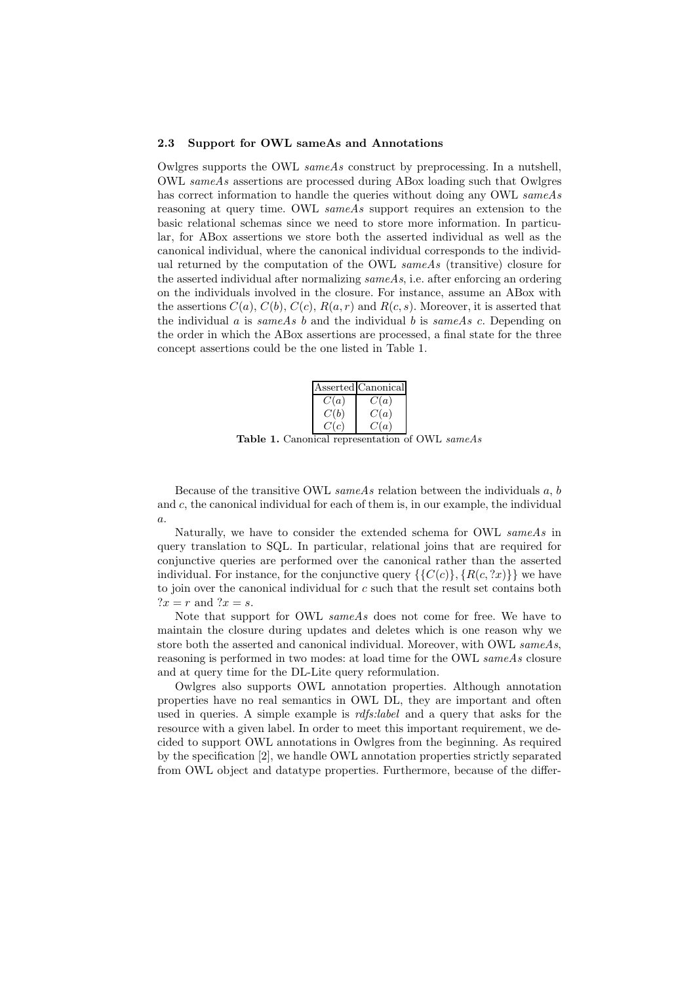#### 2.3 Support for OWL sameAs and Annotations

Owlgres supports the OWL  $sameAs$  construct by preprocessing. In a nutshell, OWL sameAs assertions are processed during ABox loading such that Owlgres has correct information to handle the queries without doing any OWL sameAs reasoning at query time. OWL sameAs support requires an extension to the basic relational schemas since we need to store more information. In particular, for ABox assertions we store both the asserted individual as well as the canonical individual, where the canonical individual corresponds to the individual returned by the computation of the OWL same As (transitive) closure for the asserted individual after normalizing  $sameAs$ , i.e. after enforcing an ordering on the individuals involved in the closure. For instance, assume an ABox with the assertions  $C(a)$ ,  $C(b)$ ,  $C(c)$ ,  $R(a, r)$  and  $R(c, s)$ . Moreover, it is asserted that the individual a is same As b and the individual b is same As c. Depending on the order in which the ABox assertions are processed, a final state for the three concept assertions could be the one listed in Table 1.

|      | Asserted Canonical |  |
|------|--------------------|--|
| C(a) | C(a)               |  |
| C(b) | C(a)               |  |
| C(c) | C(a)               |  |
|      | . .                |  |

Table 1. Canonical representation of OWL sameAs

Because of the transitive OWL  $sameAs$  relation between the individuals  $a, b$ and c, the canonical individual for each of them is, in our example, the individual a.

Naturally, we have to consider the extended schema for OWL sameAs in query translation to SQL. In particular, relational joins that are required for conjunctive queries are performed over the canonical rather than the asserted individual. For instance, for the conjunctive query  $\{\{C(c)\}, \{R(c, 2x)\}\}\$ ue have to join over the canonical individual for c such that the result set contains both  $?x = r$  and  $?x = s$ .

Note that support for OWL sameAs does not come for free. We have to maintain the closure during updates and deletes which is one reason why we store both the asserted and canonical individual. Moreover, with OWL sameAs, reasoning is performed in two modes: at load time for the OWL sameAs closure and at query time for the DL-Lite query reformulation.

Owlgres also supports OWL annotation properties. Although annotation properties have no real semantics in OWL DL, they are important and often used in queries. A simple example is *rdfs:label* and a query that asks for the resource with a given label. In order to meet this important requirement, we decided to support OWL annotations in Owlgres from the beginning. As required by the specification [2], we handle OWL annotation properties strictly separated from OWL object and datatype properties. Furthermore, because of the differ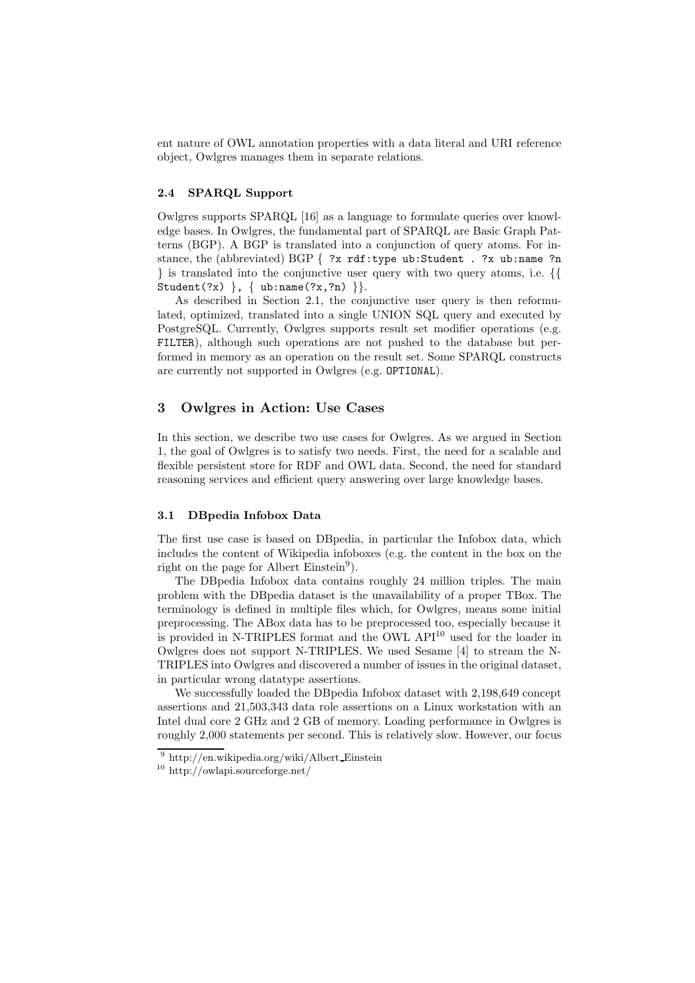ent nature of OWL annotation properties with a data literal and URI reference object, Owlgres manages them in separate relations.

# 2.4 SPARQL Support

Owlgres supports SPARQL [16] as a language to formulate queries over knowledge bases. In Owlgres, the fundamental part of SPARQL are Basic Graph Patterns (BGP). A BGP is translated into a conjunction of query atoms. For instance, the (abbreviated) BGP  $\{$  ?x rdf:type ub:Student . ?x ub:name ?n } is translated into the conjunctive user query with two query atoms, i.e. {{ Student(?x) }, { ub:name(?x,?n) } }.

As described in Section 2.1, the conjunctive user query is then reformulated, optimized, translated into a single UNION SQL query and executed by PostgreSQL. Currently, Owlgres supports result set modifier operations (e.g. FILTER), although such operations are not pushed to the database but performed in memory as an operation on the result set. Some SPARQL constructs are currently not supported in Owlgres (e.g. OPTIONAL).

# 3 Owlgres in Action: Use Cases

In this section, we describe two use cases for Owlgres. As we argued in Section 1, the goal of Owlgres is to satisfy two needs. First, the need for a scalable and flexible persistent store for RDF and OWL data. Second, the need for standard reasoning services and efficient query answering over large knowledge bases.

#### 3.1 DBpedia Infobox Data

The first use case is based on DBpedia, in particular the Infobox data, which includes the content of Wikipedia infoboxes (e.g. the content in the box on the right on the page for Albert Einstein<sup>9</sup>).

The DBpedia Infobox data contains roughly 24 million triples. The main problem with the DBpedia dataset is the unavailability of a proper TBox. The terminology is defined in multiple files which, for Owlgres, means some initial preprocessing. The ABox data has to be preprocessed too, especially because it is provided in N-TRIPLES format and the OWL API<sup>10</sup> used for the loader in Owlgres does not support N-TRIPLES. We used Sesame [4] to stream the N-TRIPLES into Owlgres and discovered a number of issues in the original dataset, in particular wrong datatype assertions.

We successfully loaded the DBpedia Infobox dataset with 2,198,649 concept assertions and 21,503,343 data role assertions on a Linux workstation with an Intel dual core 2 GHz and 2 GB of memory. Loading performance in Owlgres is roughly 2,000 statements per second. This is relatively slow. However, our focus

<sup>9</sup> http://en.wikipedia.org/wiki/Albert Einstein

<sup>10</sup> http://owlapi.sourceforge.net/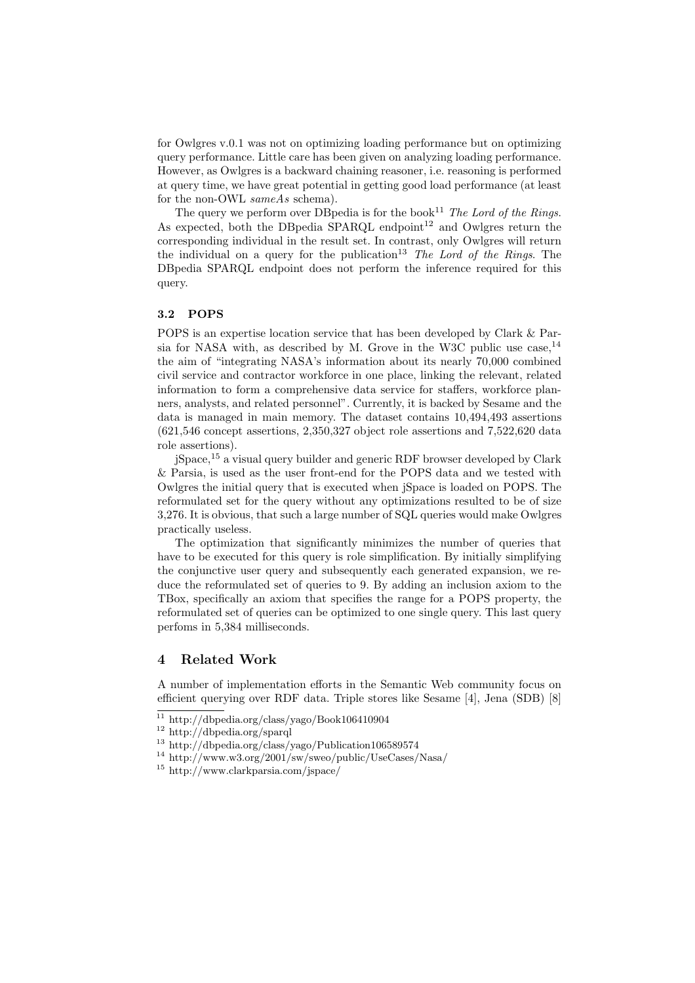for Owlgres v.0.1 was not on optimizing loading performance but on optimizing query performance. Little care has been given on analyzing loading performance. However, as Owlgres is a backward chaining reasoner, i.e. reasoning is performed at query time, we have great potential in getting good load performance (at least for the non-OWL sameAs schema).

The query we perform over DBpedia is for the book<sup>11</sup> The Lord of the Rings. As expected, both the DB pedia SPARQL endpoint<sup>12</sup> and Owlgres return the corresponding individual in the result set. In contrast, only Owlgres will return the individual on a query for the publication<sup>13</sup> The Lord of the Rings. The DBpedia SPARQL endpoint does not perform the inference required for this query.

# 3.2 POPS

POPS is an expertise location service that has been developed by Clark & Parsia for NASA with, as described by M. Grove in the W3C public use case,  $^{14}$ the aim of "integrating NASA's information about its nearly 70,000 combined civil service and contractor workforce in one place, linking the relevant, related information to form a comprehensive data service for staffers, workforce planners, analysts, and related personnel". Currently, it is backed by Sesame and the data is managed in main memory. The dataset contains 10,494,493 assertions (621,546 concept assertions, 2,350,327 object role assertions and 7,522,620 data role assertions).

jSpace,<sup>15</sup> a visual query builder and generic RDF browser developed by Clark & Parsia, is used as the user front-end for the POPS data and we tested with Owlgres the initial query that is executed when jSpace is loaded on POPS. The reformulated set for the query without any optimizations resulted to be of size 3,276. It is obvious, that such a large number of SQL queries would make Owlgres practically useless.

The optimization that significantly minimizes the number of queries that have to be executed for this query is role simplification. By initially simplifying the conjunctive user query and subsequently each generated expansion, we reduce the reformulated set of queries to 9. By adding an inclusion axiom to the TBox, specifically an axiom that specifies the range for a POPS property, the reformulated set of queries can be optimized to one single query. This last query perfoms in 5,384 milliseconds.

# 4 Related Work

A number of implementation efforts in the Semantic Web community focus on efficient querying over RDF data. Triple stores like Sesame [4], Jena (SDB) [8]

<sup>11</sup> http://dbpedia.org/class/yago/Book106410904

<sup>12</sup> http://dbpedia.org/sparql

<sup>13</sup> http://dbpedia.org/class/yago/Publication106589574

 $^{14}$ http://www.w3.org/2001/sw/sweo/public/UseCases/Nasa/

<sup>15</sup> http://www.clarkparsia.com/jspace/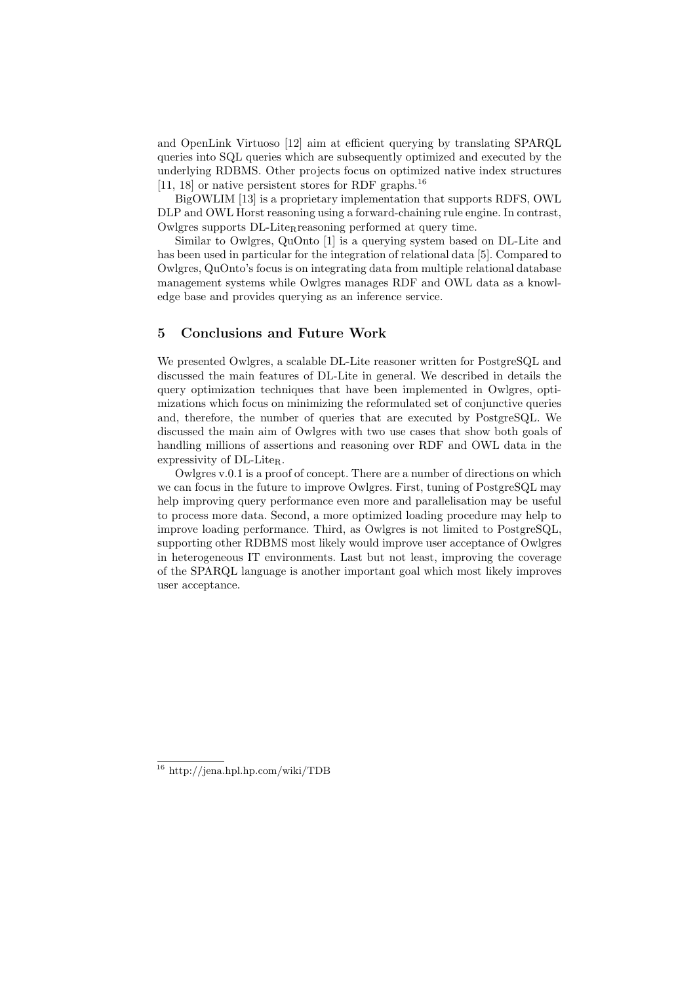and OpenLink Virtuoso [12] aim at efficient querying by translating SPARQL queries into SQL queries which are subsequently optimized and executed by the underlying RDBMS. Other projects focus on optimized native index structures [11, 18] or native persistent stores for RDF graphs.<sup>16</sup>

BigOWLIM [13] is a proprietary implementation that supports RDFS, OWL DLP and OWL Horst reasoning using a forward-chaining rule engine. In contrast, Owlgres supports DL-Lite<sub>R</sub>reasoning performed at query time.

Similar to Owlgres, QuOnto [1] is a querying system based on DL-Lite and has been used in particular for the integration of relational data [5]. Compared to Owlgres, QuOnto's focus is on integrating data from multiple relational database management systems while Owlgres manages RDF and OWL data as a knowledge base and provides querying as an inference service.

# 5 Conclusions and Future Work

We presented Owlgres, a scalable DL-Lite reasoner written for PostgreSQL and discussed the main features of DL-Lite in general. We described in details the query optimization techniques that have been implemented in Owlgres, optimizations which focus on minimizing the reformulated set of conjunctive queries and, therefore, the number of queries that are executed by PostgreSQL. We discussed the main aim of Owlgres with two use cases that show both goals of handling millions of assertions and reasoning over RDF and OWL data in the expressivity of DL-Lite<sub>R</sub>.

Owlgres v.0.1 is a proof of concept. There are a number of directions on which we can focus in the future to improve Owlgres. First, tuning of PostgreSQL may help improving query performance even more and parallelisation may be useful to process more data. Second, a more optimized loading procedure may help to improve loading performance. Third, as Owlgres is not limited to PostgreSQL, supporting other RDBMS most likely would improve user acceptance of Owlgres in heterogeneous IT environments. Last but not least, improving the coverage of the SPARQL language is another important goal which most likely improves user acceptance.

<sup>16</sup> http://jena.hpl.hp.com/wiki/TDB